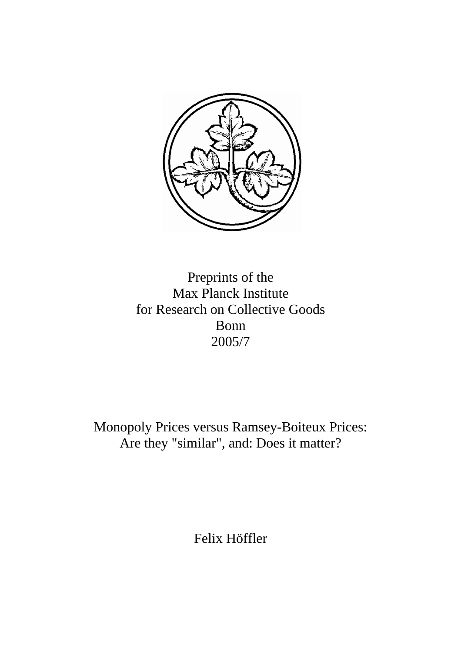

Preprints of the Max Planck Institute for Research on Collective Goods Bonn 2005/7

Monopoly Prices versus Ramsey-Boiteux Prices: Are they "similar", and: Does it matter?

Felix Höffler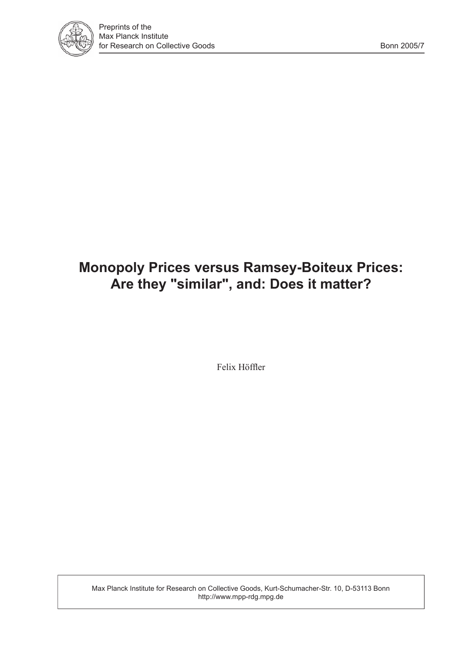

# **Monopoly Prices versus Ramsey-Boiteux Prices: Are they "similar", and: Does it matter?**

Felix Höffler

Max Planck Institute for Research on Collective Goods, Kurt-Schumacher-Str. 10, D-53113 Bonn http://www.mpp-rdg.mpg.de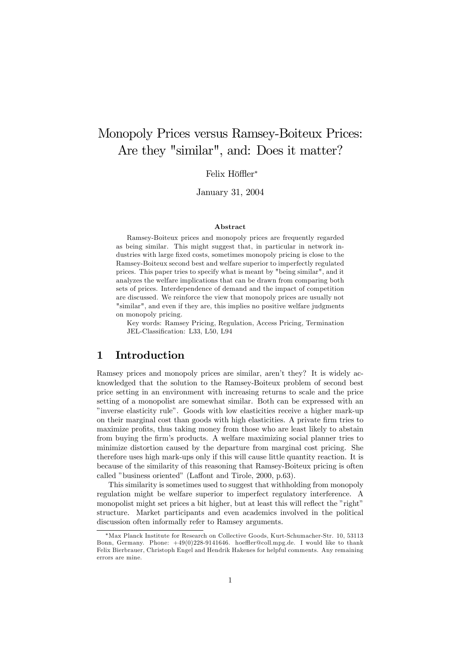## Monopoly Prices versus Ramsey-Boiteux Prices: Are they "similar", and: Does it matter?

#### Felix Höffler\*

January 31, 2004

#### Abstract

Ramsey-Boiteux prices and monopoly prices are frequently regarded as being similar. This might suggest that, in particular in network industries with large fixed costs, sometimes monopoly pricing is close to the Ramsey-Boiteux second best and welfare superior to imperfectly regulated prices. This paper tries to specify what is meant by "being similar", and it analyzes the welfare implications that can be drawn from comparing both sets of prices. Interdependence of demand and the impact of competition are discussed. We reinforce the view that monopoly prices are usually not "similar", and even if they are, this implies no positive welfare judgments on monopoly pricing.

Key words: Ramsey Pricing, Regulation, Access Pricing, Termination JEL-Classification: L33, L50, L94

#### 1 Introduction

Ramsey prices and monopoly prices are similar, arenít they? It is widely acknowledged that the solution to the Ramsey-Boiteux problem of second best price setting in an environment with increasing returns to scale and the price setting of a monopolist are somewhat similar. Both can be expressed with an îinverse elasticity ruleî. Goods with low elasticities receive a higher mark-up on their marginal cost than goods with high elasticities. A private firm tries to maximize profits, thus taking money from those who are least likely to abstain from buying the firm's products. A welfare maximizing social planner tries to minimize distortion caused by the departure from marginal cost pricing. She therefore uses high mark-ups only if this will cause little quantity reaction. It is because of the similarity of this reasoning that Ramsey-Boiteux pricing is often called "business oriented" (Laffont and Tirole, 2000, p.63).

This similarity is sometimes used to suggest that withholding from monopoly regulation might be welfare superior to imperfect regulatory interference. A monopolist might set prices a bit higher, but at least this will reflect the "right" structure. Market participants and even academics involved in the political discussion often informally refer to Ramsey arguments.

Max Planck Institute for Research on Collective Goods, Kurt-Schumacher-Str. 10, 53113 Bonn, Germany. Phone:  $+49(0)228-9141646$ . hoeffler@coll.mpg.de. I would like to thank Felix Bierbrauer, Christoph Engel and Hendrik Hakenes for helpful comments. Any remaining errors are mine.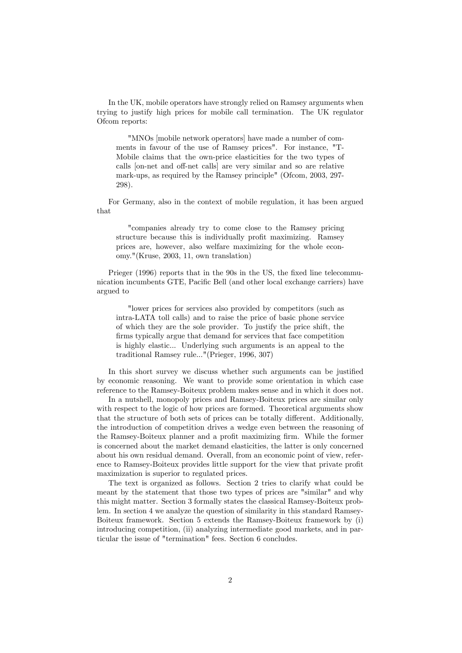In the UK, mobile operators have strongly relied on Ramsey arguments when trying to justify high prices for mobile call termination. The UK regulator Ofcom reports:

"MNOs [mobile network operators] have made a number of comments in favour of the use of Ramsey prices". For instance, "T-Mobile claims that the own-price elasticities for the two types of calls [on-net and off-net calls] are very similar and so are relative mark-ups, as required by the Ramsey principle" (Ofcom, 2003, 297-298).

For Germany, also in the context of mobile regulation, it has been argued that

"companies already try to come close to the Ramsey pricing structure because this is individually profit maximizing. Ramsey prices are, however, also welfare maximizing for the whole economy."(Kruse, 2003, 11, own translation)

Prieger (1996) reports that in the 90s in the US, the fixed line telecommunication incumbents GTE, Pacific Bell (and other local exchange carriers) have argued to

"lower prices for services also provided by competitors (such as intra-LATA toll calls) and to raise the price of basic phone service of which they are the sole provider. To justify the price shift, the firms typically argue that demand for services that face competition is highly elastic... Underlying such arguments is an appeal to the traditional Ramsey rule..."(Prieger, 1996, 307)

In this short survey we discuss whether such arguments can be justified by economic reasoning. We want to provide some orientation in which case reference to the Ramsey-Boiteux problem makes sense and in which it does not.

In a nutshell, monopoly prices and Ramsey-Boiteux prices are similar only with respect to the logic of how prices are formed. Theoretical arguments show that the structure of both sets of prices can be totally different. Additionally, the introduction of competition drives a wedge even between the reasoning of the Ramsey-Boiteux planner and a profit maximizing firm. While the former is concerned about the market demand elasticities, the latter is only concerned about his own residual demand. Overall, from an economic point of view, reference to Ramsey-Boiteux provides little support for the view that private profit maximization is superior to regulated prices.

The text is organized as follows. Section 2 tries to clarify what could be meant by the statement that those two types of prices are "similar" and why this might matter. Section 3 formally states the classical Ramsey-Boiteux problem. In section 4 we analyze the question of similarity in this standard Ramsey-Boiteux framework. Section 5 extends the Ramsey-Boiteux framework by (i) introducing competition, (ii) analyzing intermediate good markets, and in particular the issue of "termination" fees. Section 6 concludes.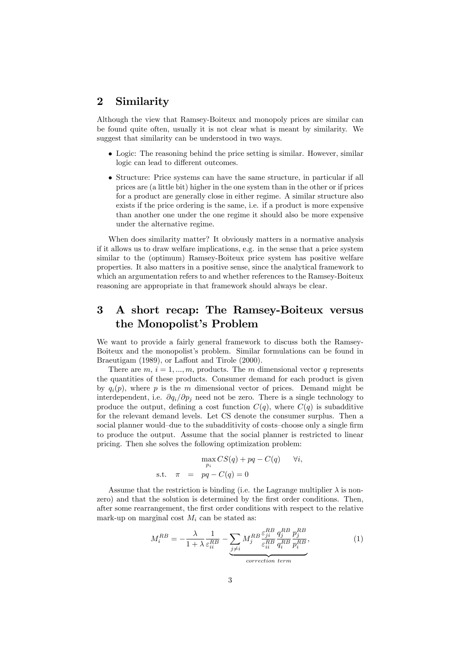## 2 Similarity

Although the view that Ramsey-Boiteux and monopoly prices are similar can be found quite often, usually it is not clear what is meant by similarity. We suggest that similarity can be understood in two ways.

- Logic: The reasoning behind the price setting is similar. However, similar logic can lead to different outcomes.
- Structure: Price systems can have the same structure, in particular if all prices are (a little bit) higher in the one system than in the other or if prices for a product are generally close in either regime. A similar structure also exists if the price ordering is the same, i.e. if a product is more expensive than another one under the one regime it should also be more expensive under the alternative regime.

When does similarity matter? It obviously matters in a normative analysis if it allows us to draw welfare implications, e.g. in the sense that a price system similar to the (optimum) Ramsey-Boiteux price system has positive welfare properties. It also matters in a positive sense, since the analytical framework to which an argumentation refers to and whether references to the Ramsey-Boiteux reasoning are appropriate in that framework should always be clear.

## 3 A short recap: The Ramsey-Boiteux versus the Monopolist's Problem

We want to provide a fairly general framework to discuss both the Ramsey-Boiteux and the monopolist's problem. Similar formulations can be found in Braeutigam (1989), or Laffont and Tirole (2000).

There are  $m, i = 1, ..., m$ , products. The m dimensional vector q represents the quantities of these products. Consumer demand for each product is given by  $q_i(p)$ , where p is the m dimensional vector of prices. Demand might be interdependent, i.e.  $\partial q_i/\partial p_j$  need not be zero. There is a single technology to produce the output, defining a cost function  $C(q)$ , where  $C(q)$  is subadditive for the relevant demand levels. Let CS denote the consumer surplus. Then a social planner would-due to the subadditivity of costs-choose only a single firm to produce the output. Assume that the social planner is restricted to linear pricing. Then she solves the following optimization problem:

$$
\max_{p_i} CS(q) + pq - C(q) \quad \forall i,
$$
  
s.t.  $\pi = pq - C(q) = 0$ 

Assume that the restriction is binding (i.e. the Lagrange multiplier  $\lambda$  is nonzero) and that the solution is determined by the first order conditions. Then, after some rearrangement, the Örst order conditions with respect to the relative mark-up on marginal cost  $M_i$  can be stated as:

$$
M_i^{RB} = -\frac{\lambda}{1+\lambda} \frac{1}{\varepsilon_{ii}^{RB}} - \underbrace{\sum_{j \neq i} M_j^{RB} \frac{\varepsilon_{ji}^{RB}}{\varepsilon_{ii}^{RB}} \frac{q_j^{RB}}{q_i^{RB}} \frac{p_j^{RB}}{p_i^{RB}}}_{correction \ term},
$$
\n(1)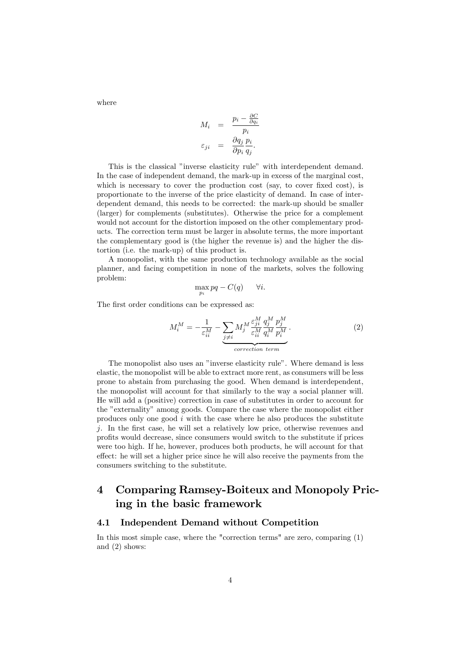where

$$
M_i = \frac{p_i - \frac{\partial C}{\partial q_i}}{p_i}
$$

$$
\varepsilon_{ji} = \frac{\partial q_j}{\partial p_i} \frac{p_i}{q_j}.
$$

This is the classical "inverse elasticity rule" with interdependent demand. In the case of independent demand, the mark-up in excess of the marginal cost, which is necessary to cover the production cost (say, to cover fixed cost), is proportionate to the inverse of the price elasticity of demand. In case of interdependent demand, this needs to be corrected: the mark-up should be smaller (larger) for complements (substitutes). Otherwise the price for a complement would not account for the distortion imposed on the other complementary products. The correction term must be larger in absolute terms, the more important the complementary good is (the higher the revenue is) and the higher the distortion (i.e. the mark-up) of this product is.

A monopolist, with the same production technology available as the social planner, and facing competition in none of the markets, solves the following problem:

$$
\max_{p_i} pq - C(q) \qquad \forall i.
$$

The first order conditions can be expressed as:

$$
M_i^M = -\frac{1}{\varepsilon_{ii}^M} - \underbrace{\sum_{j \neq i} M_j^M \frac{\varepsilon_{ji}^M}{\varepsilon_{ii}^M} \frac{q_j^M}{q_i^M} \frac{p_j^M}{p_i^M}}_{correction \ term}.
$$
 (2)

The monopolist also uses an "inverse elasticity rule". Where demand is less elastic, the monopolist will be able to extract more rent, as consumers will be less prone to abstain from purchasing the good. When demand is interdependent, the monopolist will account for that similarly to the way a social planner will. He will add a (positive) correction in case of substitutes in order to account for the "externality" among goods. Compare the case where the monopolist either produces only one good  $i$  with the case where he also produces the substitute j. In the first case, he will set a relatively low price, otherwise revenues and profits would decrease, since consumers would switch to the substitute if prices were too high. If he, however, produces both products, he will account for that effect: he will set a higher price since he will also receive the payments from the consumers switching to the substitute.

## 4 Comparing Ramsey-Boiteux and Monopoly Pricing in the basic framework

#### 4.1 Independent Demand without Competition

In this most simple case, where the "correction terms" are zero, comparing (1) and (2) shows: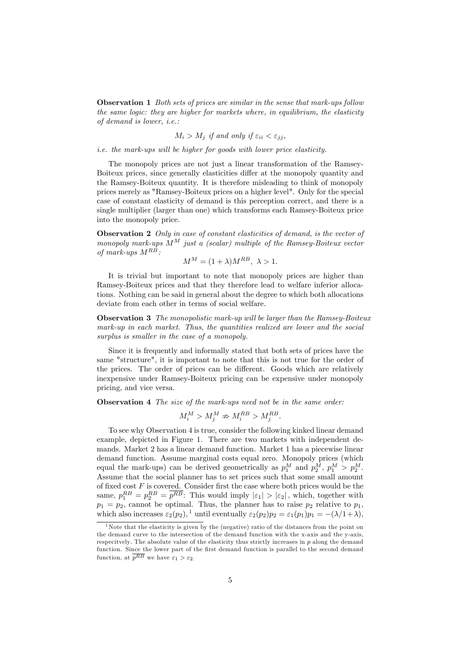**Observation 1** Both sets of prices are similar in the sense that mark-ups follow the same logic: they are higher for markets where, in equilibrium, the elasticity of demand is lower, i.e.:

$$
M_i > M_j \text{ if and only if } \varepsilon_{ii} < \varepsilon_{jj},
$$

i.e. the mark-ups will be higher for goods with lower price elasticity.

The monopoly prices are not just a linear transformation of the Ramsey-Boiteux prices, since generally elasticities differ at the monopoly quantity and the Ramsey-Boiteux quantity. It is therefore misleading to think of monopoly prices merely as "Ramsey-Boiteux prices on a higher level". Only for the special case of constant elasticity of demand is this perception correct, and there is a single multiplier (larger than one) which transforms each Ramsey-Boiteux price into the monopoly price.

**Observation 2** Only in case of constant elasticities of demand, is the vector of monopoly mark-ups  $M^M$  just a (scalar) multiple of the Ramsey-Boiteux vector of mark-ups  $M^{R\overline{B}}$ :

$$
M^M = (1 + \lambda)M^{RB}, \ \lambda > 1.
$$

It is trivial but important to note that monopoly prices are higher than Ramsey-Boiteux prices and that they therefore lead to welfare inferior allocations. Nothing can be said in general about the degree to which both allocations deviate from each other in terms of social welfare.

Observation 3 The monopolistic mark-up will be larger than the Ramsey-Boiteux mark-up in each market. Thus, the quantities realized are lower and the social surplus is smaller in the case of a monopoly.

Since it is frequently and informally stated that both sets of prices have the same "structure", it is important to note that this is not true for the order of the prices. The order of prices can be different. Goods which are relatively inexpensive under Ramsey-Boiteux pricing can be expensive under monopoly pricing, and vice versa.

**Observation 4** The size of the mark-ups need not be in the same order:

$$
M_i^M > M_j^M \nRightarrow M_i^{RB} > M_j^{RB}.
$$

To see why Observation 4 is true, consider the following kinked linear demand example, depicted in Figure 1. There are two markets with independent demands. Market 2 has a linear demand function. Market 1 has a piecewise linear demand function. Assume marginal costs equal zero. Monopoly prices (which equal the mark-ups) can be derived geometrically as  $p_1^M$  and  $p_2^M$ ,  $p_1^M > p_2^M$ . Assume that the social planner has to set prices such that some small amount of fixed cost  $F$  is covered. Consider first the case where both prices would be the same,  $p_1^{RB} = p_2^{RB} = \overline{p^{RB}}$ : This would imply  $|\varepsilon_1| > |\varepsilon_2|$ , which, together with  $p_1 = p_2$ , cannot be optimal. Thus, the planner has to raise  $p_2$  relative to  $p_1$ , which also increases  $\varepsilon_2(p_2)$ ,<sup>1</sup> until eventually  $\varepsilon_2(p_2)p_2 = \varepsilon_1(p_1)p_1 = -(\lambda/1+\lambda)$ ,

<sup>&</sup>lt;sup>1</sup>Note that the elasticity is given by the (negative) ratio of the distances from the point on the demand curve to the intersection of the demand function with the x-axis and the y-axis, respecitvely. The absolute value of the elasticity thus strictly increases in  $p$  along the demand function. Since the lower part of the first demand function is parallel to the second demand function, at  $\overline{p^{RB}}$  we have  $\varepsilon_1 > \varepsilon_2$ .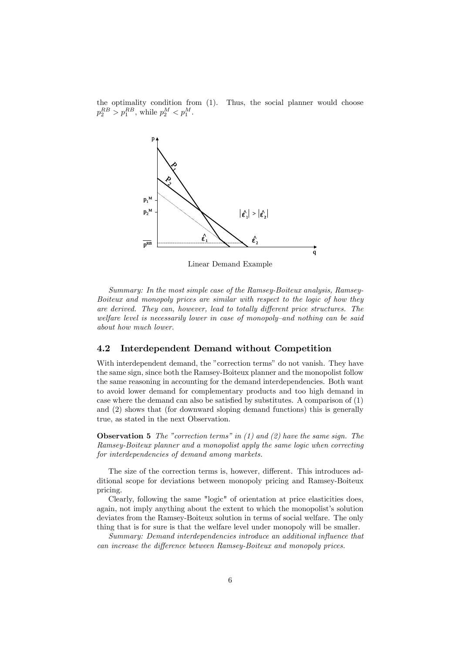the optimality condition from (1). Thus, the social planner would choose  $p_2^{RB} > p_1^{RB}$ , while  $p_2^M < p_1^M$ .



Linear Demand Example

Summary: In the most simple case of the Ramsey-Boiteux analysis, Ramsey-Boiteux and monopoly prices are similar with respect to the logic of how they are derived. They can, however, lead to totally different price structures. The welfare level is necessarily lower in case of monopoly-and nothing can be said about how much lower.

#### 4.2 Interdependent Demand without Competition

With interdependent demand, the "correction terms" do not vanish. They have the same sign, since both the Ramsey-Boiteux planner and the monopolist follow the same reasoning in accounting for the demand interdependencies. Both want to avoid lower demand for complementary products and too high demand in case where the demand can also be satisfied by substitutes. A comparison of  $(1)$ and (2) shows that (for downward sloping demand functions) this is generally true, as stated in the next Observation.

**Observation 5** The "correction terms" in  $(1)$  and  $(2)$  have the same sign. The Ramsey-Boiteux planner and a monopolist apply the same logic when correcting for interdependencies of demand among markets.

The size of the correction terms is, however, different. This introduces additional scope for deviations between monopoly pricing and Ramsey-Boiteux pricing.

Clearly, following the same "logic" of orientation at price elasticities does, again, not imply anything about the extent to which the monopolist's solution deviates from the Ramsey-Boiteux solution in terms of social welfare. The only thing that is for sure is that the welfare level under monopoly will be smaller.

Summary: Demand interdependencies introduce an additional influence that can increase the difference between Ramsey-Boiteux and monopoly prices.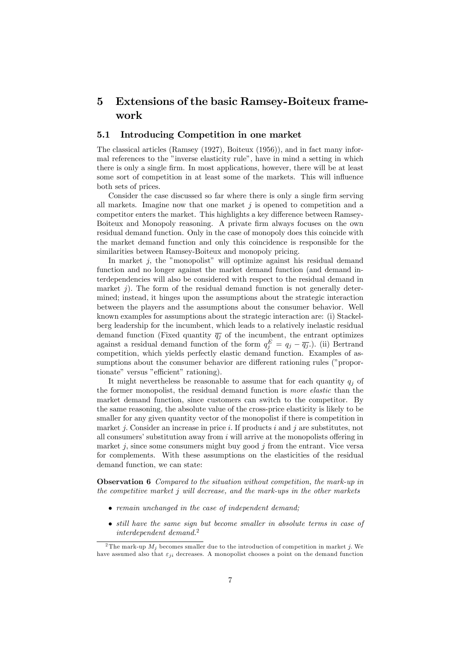## 5 Extensions of the basic Ramsey-Boiteux framework

#### 5.1 Introducing Competition in one market

The classical articles (Ramsey (1927), Boiteux (1956)), and in fact many informal references to the "inverse elasticity rule", have in mind a setting in which there is only a single firm. In most applications, however, there will be at least some sort of competition in at least some of the markets. This will influence both sets of prices.

Consider the case discussed so far where there is only a single firm serving all markets. Imagine now that one market  $j$  is opened to competition and a competitor enters the market. This highlights a key difference between Ramsey-Boiteux and Monopoly reasoning. A private firm always focuses on the own residual demand function. Only in the case of monopoly does this coincide with the market demand function and only this coincidence is responsible for the similarities between Ramsey-Boiteux and monopoly pricing.

In market  $j$ , the "monopolist" will optimize against his residual demand function and no longer against the market demand function (and demand interdependencies will also be considered with respect to the residual demand in market  $\hat{\mathbf{i}}$ ). The form of the residual demand function is not generally determined; instead, it hinges upon the assumptions about the strategic interaction between the players and the assumptions about the consumer behavior. Well known examples for assumptions about the strategic interaction are: (i) Stackelberg leadership for the incumbent, which leads to a relatively inelastic residual demand function (Fixed quantity  $\overline{q_i}$  of the incumbent, the entrant optimizes against a residual demand function of the form  $q_j^E = q_j - \overline{q_j}$ . (ii) Bertrand competition, which yields perfectly elastic demand function. Examples of assumptions about the consumer behavior are different rationing rules ("proportionate" versus "efficient" rationing).

It might nevertheless be reasonable to assume that for each quantity  $q_i$  of the former monopolist, the residual demand function is more elastic than the market demand function, since customers can switch to the competitor. By the same reasoning, the absolute value of the cross-price elasticity is likely to be smaller for any given quantity vector of the monopolist if there is competition in market  $j$ . Consider an increase in price  $i$ . If products  $i$  and  $j$  are substitutes, not all consumers' substitution away from  $i$  will arrive at the monopolists offering in market j, since some consumers might buy good  $j$  from the entrant. Vice versa for complements. With these assumptions on the elasticities of the residual demand function, we can state:

Observation 6 Compared to the situation without competition, the mark-up in the competitive market  $j$  will decrease, and the mark-ups in the other markets

- remain unchanged in the case of independent demand;
- still have the same sign but become smaller in absolute terms in case of interdependent demand.<sup>2</sup>

<sup>&</sup>lt;sup>2</sup>The mark-up  $M_i$  becomes smaller due to the introduction of competition in market j. We have assumed also that  $\varepsilon_{ji}$  decreases. A monopolist chooses a point on the demand function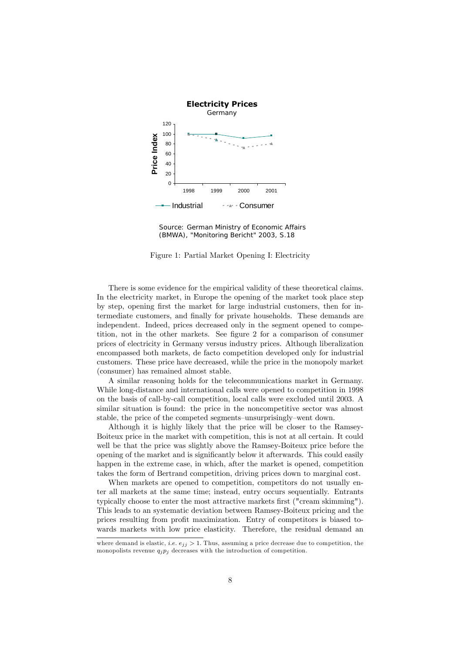

Source: German Ministry of Economic Affairs (BMWA), "Monitoring Bericht" 2003, S.18

Figure 1: Partial Market Opening I: Electricity

There is some evidence for the empirical validity of these theoretical claims. In the electricity market, in Europe the opening of the market took place step by step, opening Örst the market for large industrial customers, then for intermediate customers, and Önally for private households. These demands are independent. Indeed, prices decreased only in the segment opened to competition, not in the other markets. See figure 2 for a comparison of consumer prices of electricity in Germany versus industry prices. Although liberalization encompassed both markets, de facto competition developed only for industrial customers. These price have decreased, while the price in the monopoly market (consumer) has remained almost stable.

A similar reasoning holds for the telecommunications market in Germany. While long-distance and international calls were opened to competition in 1998 on the basis of call-by-call competition, local calls were excluded until 2003. A similar situation is found: the price in the noncompetitive sector was almost stable, the price of the competed segments–unsurprisingly–went down.

Although it is highly likely that the price will be closer to the Ramsey-Boiteux price in the market with competition, this is not at all certain. It could well be that the price was slightly above the Ramsey-Boiteux price before the opening of the market and is significantly below it afterwards. This could easily happen in the extreme case, in which, after the market is opened, competition takes the form of Bertrand competition, driving prices down to marginal cost.

When markets are opened to competition, competitors do not usually enter all markets at the same time; instead, entry occurs sequentially. Entrants typically choose to enter the most attractive markets first ("cream skimming"). This leads to an systematic deviation between Ramsey-Boiteux pricing and the prices resulting from profit maximization. Entry of competitors is biased towards markets with low price elasticity. Therefore, the residual demand an

where demand is elastic, *i.e.*  $e_{ij} > 1$ . Thus, assuming a price decrease due to competition, the monopolists revenue  $q_i p_j$  decreases with the introduction of competition.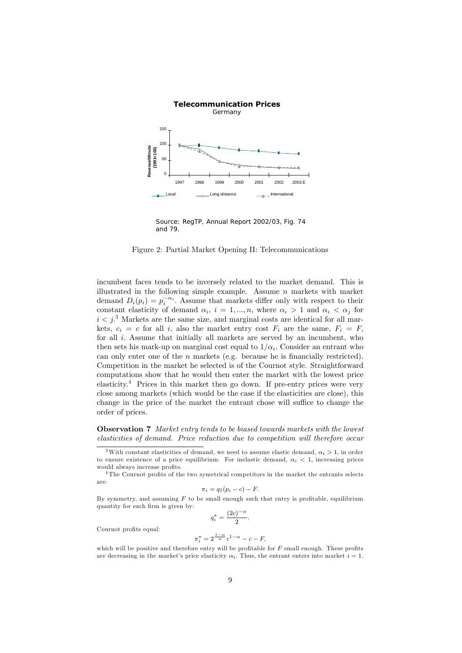

Source: RegTP, Annual Report 2002/03, Fig. 74 and 79.

Figure 2: Partial Market Opening II: Telecommunications

incumbent faces tends to be inversely related to the market demand. This is illustrated in the following simple example. Assume  $n$  markets with market demand  $D_i(p_i) = p_i^{-\alpha_i}$ . Assume that markets differ only with respect to their constant elasticity of demand  $\alpha_i$ ,  $i = 1, ..., n$ , where  $\alpha_i > 1$  and  $\alpha_i < \alpha_j$  for  $i < j$ <sup>3</sup> Markets are the same size, and marginal costs are identical for all markets,  $c_i = c$  for all i, also the market entry cost  $F_i$  are the same,  $F_i = F$ , for all  $i$ . Assume that initially all markets are served by an incumbent, who then sets his mark-up on marginal cost equal to  $1/\alpha_i$ . Consider an entrant who can only enter one of the  $n$  markets (e.g. because he is financially restricted). Competition in the market he selected is of the Cournot style. Straightforward computations show that he would then enter the market with the lowest price elasticity.<sup>4</sup> Prices in this market then go down. If pre-entry prices were very close among markets (which would be the case if the elasticities are close), this change in the price of the market the entrant chose will suffice to change the order of prices.

Observation 7 Market entry tends to be biased towards markets with the lowest elasticities of demand. Price reduction due to competition will therefore occur

 $\pi_i = q_1(p_i - c) - F.$ 

By symmetry, and assuming  $F$  to be small enough such that entry is profitable, equilibrium quantity for each firm is given by:  $q_i^* = \frac{(2c)^{-\alpha}}{2}$ 

Cournot profits equal:

$$
\pi_i^* = 2^{\frac{1-\alpha}{\alpha}} c^{1-\alpha} - c - F,
$$

 $\frac{7}{2}$ .

which will be positive and therefore entry will be profitable for  $F$  small enough. These profits are decreasing in the market's price elasticity  $\alpha_i$ . Thus, the entrant enters into market  $i = 1$ .

<sup>&</sup>lt;sup>3</sup>With constant elasticities of demand, we need to assume elastic demand,  $\alpha_i > 1$ , in order to ensure existence of a price equilibrium. For inelastic demand,  $\alpha_i < 1$ , increasing prices would always increase profits.

 $4$ The Cournot profits of the two symetrical competitors in the market the entrants selects are: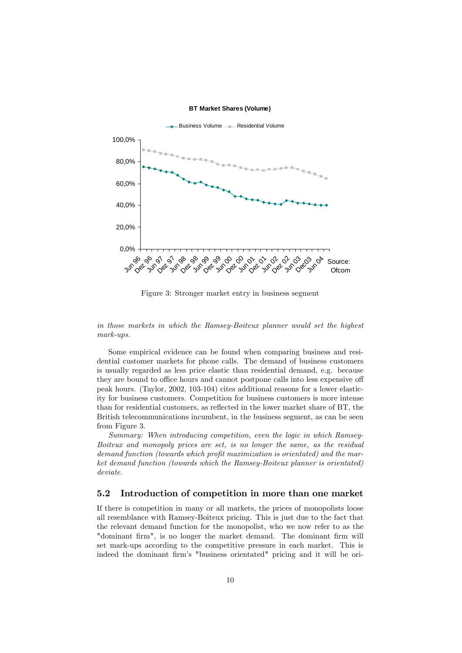**BT Market Shares (Volume)**



Figure 3: Stronger market entry in business segment

in those markets in which the Ramsey-Boiteux planner would set the highest mark-ups.

Some empirical evidence can be found when comparing business and residential customer markets for phone calls. The demand of business customers is usually regarded as less price elastic than residential demand, e.g. because they are bound to office hours and cannot postpone calls into less expensive off peak hours. (Taylor, 2002, 103-104) cites additional reasons for a lower elasticity for business customers. Competition for business customers is more intense than for residential customers, as reflected in the lower market share of BT, the British telecommunications incumbent, in the business segment, as can be seen from Figure 3.

Summary: When introducing competition, even the logic in which Ramsey-Boiteux and monopoly prices are set, is no longer the same, as the residual demand function (towards which profit maximization is orientated) and the market demand function (towards which the Ramsey-Boiteux planner is orientated) deviate.

#### 5.2 Introduction of competition in more than one market

If there is competition in many or all markets, the prices of monopolists loose all resemblance with Ramsey-Boiteux pricing. This is just due to the fact that the relevant demand function for the monopolist, who we now refer to as the "dominant firm", is no longer the market demand. The dominant firm will set mark-ups according to the competitive pressure in each market. This is indeed the dominant firm's "business orientated" pricing and it will be ori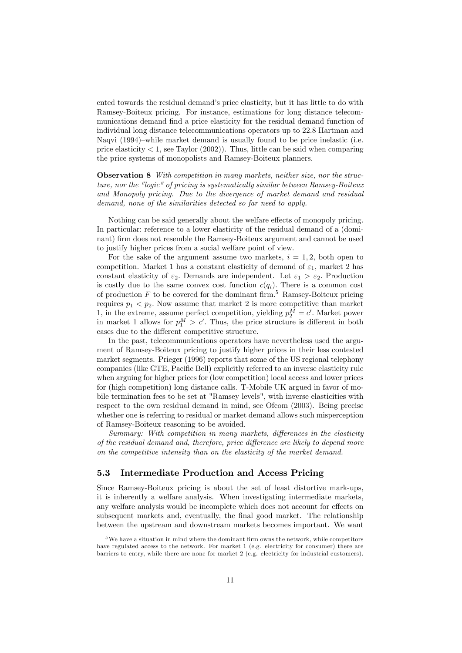ented towards the residual demand's price elasticity, but it has little to do with Ramsey-Boiteux pricing. For instance, estimations for long distance telecommunications demand find a price elasticity for the residual demand function of individual long distance telecommunications operators up to 22.8 Hartman and Naqvi (1994)–while market demand is usually found to be price inelastic (i.e. price elasticity  $\lt 1$ , see Taylor (2002)). Thus, little can be said when comparing the price systems of monopolists and Ramsey-Boiteux planners.

**Observation 8** With competition in many markets, neither size, nor the structure, nor the "logic" of pricing is systematically similar between Ramsey-Boiteux and Monopoly pricing. Due to the divergence of market demand and residual demand, none of the similarities detected so far need to apply.

Nothing can be said generally about the welfare effects of monopoly pricing. In particular: reference to a lower elasticity of the residual demand of a (dominant) firm does not resemble the Ramsey-Boiteux argument and cannot be used to justify higher prices from a social welfare point of view.

For the sake of the argument assume two markets,  $i = 1, 2$ , both open to competition. Market 1 has a constant elasticity of demand of  $\varepsilon_1$ , market 2 has constant elasticity of  $\varepsilon_2$ . Demands are independent. Let  $\varepsilon_1 > \varepsilon_2$ . Production is costly due to the same convex cost function  $c(q_i)$ . There is a common cost of production  $F$  to be covered for the dominant firm.<sup>5</sup> Ramsey-Boiteux pricing requires  $p_1 < p_2$ . Now assume that market 2 is more competitive than market 1, in the extreme, assume perfect competition, yielding  $p_2^M = c'$ . Market power in market 1 allows for  $p_1^M > c'$ . Thus, the price structure is different in both cases due to the different competitive structure.

In the past, telecommunications operators have nevertheless used the argument of Ramsey-Boiteux pricing to justify higher prices in their less contested market segments. Prieger (1996) reports that some of the US regional telephony companies (like GTE, Pacific Bell) explicitly referred to an inverse elasticity rule when arguing for higher prices for (low competition) local access and lower prices for (high competition) long distance calls. T-Mobile UK argued in favor of mobile termination fees to be set at "Ramsey levels", with inverse elasticities with respect to the own residual demand in mind, see Ofcom (2003). Being precise whether one is referring to residual or market demand allows such misperception of Ramsey-Boiteux reasoning to be avoided.

Summary: With competition in many markets, differences in the elasticity of the residual demand and, therefore, price difference are likely to depend more on the competitive intensity than on the elasticity of the market demand.

#### 5.3 Intermediate Production and Access Pricing

Since Ramsey-Boiteux pricing is about the set of least distortive mark-ups, it is inherently a welfare analysis. When investigating intermediate markets, any welfare analysis would be incomplete which does not account for effects on subsequent markets and, eventually, the final good market. The relationship between the upstream and downstream markets becomes important. We want

 $5$ We have a situation in mind where the dominant firm owns the network, while competitors have regulated access to the network. For market 1 (e.g. electricity for consumer) there are barriers to entry, while there are none for market 2 (e.g. electricity for industrial customers).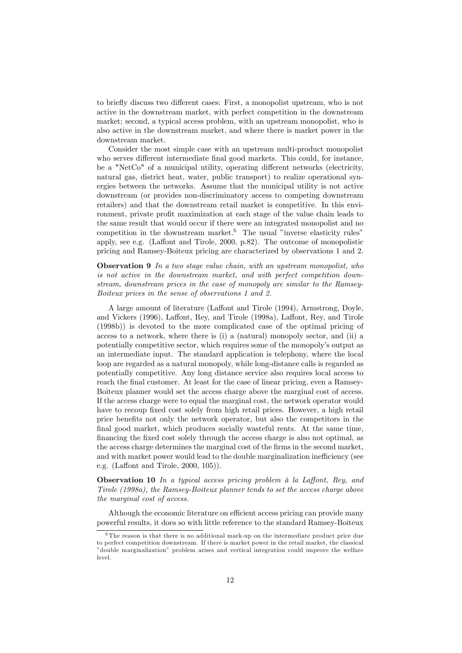to briefly discuss two different cases: First, a monopolist upstream, who is not active in the downstream market, with perfect competition in the downstream market; second, a typical access problem, with an upstream monopolist, who is also active in the downstream market, and where there is market power in the downstream market.

Consider the most simple case with an upstream multi-product monopolist who serves different intermediate final good markets. This could, for instance, be a "NetCo" of a municipal utility, operating different networks (electricity, natural gas, district heat, water, public transport) to realize operational synergies between the networks. Assume that the municipal utility is not active downstream (or provides non-discriminatory access to competing downstream retailers) and that the downstream retail market is competitive. In this environment, private profit maximization at each stage of the value chain leads to the same result that would occur if there were an integrated monopolist and no competition in the downstream market.<sup>6</sup> The usual "inverse elasticity rules" apply, see e.g. (Laffont and Tirole, 2000, p.82). The outcome of monopolistic pricing and Ramsey-Boiteux pricing are characterized by observations 1 and 2.

**Observation 9** In a two stage value chain, with an upstream monopolist, who is not active in the downstream market, and with perfect competition downstream, downstream prices in the case of monopoly are similar to the Ramsey-Boiteux prices in the sense of observations 1 and 2.

A large amount of literature (Laffont and Tirole (1994), Armstrong, Doyle, and Vickers (1996), Laffont, Rey, and Tirole (1998a), Laffont, Rey, and Tirole (1998b)) is devoted to the more complicated case of the optimal pricing of access to a network, where there is (i) a (natural) monopoly sector, and (ii) a potentially competitive sector, which requires some of the monopolyís output as an intermediate input. The standard application is telephony, where the local loop are regarded as a natural monopoly, while long-distance calls is regarded as potentially competitive. Any long distance service also requires local access to reach the final customer. At least for the case of linear pricing, even a Ramsey-Boiteux planner would set the access charge above the marginal cost of access. If the access charge were to equal the marginal cost, the network operator would have to recoup fixed cost solely from high retail prices. However, a high retail price benefits not only the network operator, but also the competitors in the final good market, which produces socially wasteful rents. At the same time, financing the fixed cost solely through the access charge is also not optimal, as the access charge determines the marginal cost of the firms in the second market, and with market power would lead to the double marginalization inefficiency (see e.g. (Laffont and Tirole,  $2000, 105$ )).

**Observation 10** In a typical access pricing problem  $\hat{a}$  la Laffont, Rey, and Tirole (1998a), the Ramsey-Boiteux planner tends to set the access charge above the marginal cost of access.

Although the economic literature on efficient access pricing can provide many powerful results, it does so with little reference to the standard Ramsey-Boiteux

 $6$ The reason is that there is no additional mark-up on the intermediate product price due to perfect competition downstream. If there is market power in the retail market, the classical îdouble marginalizationî problem arises and vertical integration could improve the welfare level.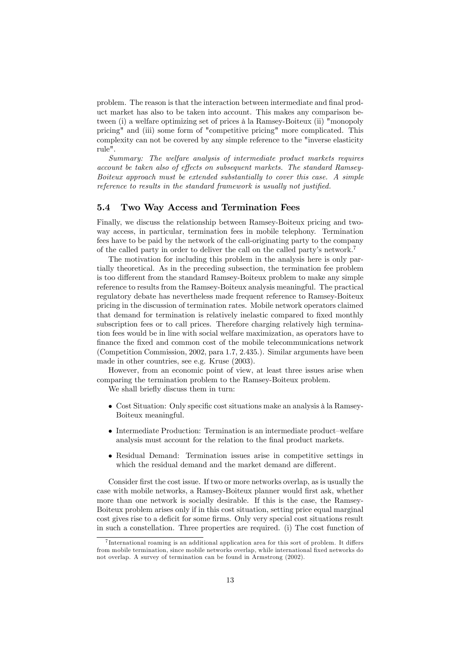problem. The reason is that the interaction between intermediate and final product market has also to be taken into account. This makes any comparison between (i) a welfare optimizing set of prices à la Ramsey-Boiteux (ii) "monopoly pricing" and (iii) some form of "competitive pricing" more complicated. This complexity can not be covered by any simple reference to the "inverse elasticity rule".

Summary: The welfare analysis of intermediate product markets requires account be taken also of effects on subsequent markets. The standard Ramsey-Boiteux approach must be extended substantially to cover this case. A simple reference to results in the standard framework is usually not justified.

#### 5.4 Two Way Access and Termination Fees

Finally, we discuss the relationship between Ramsey-Boiteux pricing and twoway access, in particular, termination fees in mobile telephony. Termination fees have to be paid by the network of the call-originating party to the company of the called party in order to deliver the call on the called party's network.<sup>7</sup>

The motivation for including this problem in the analysis here is only partially theoretical. As in the preceding subsection, the termination fee problem is too different from the standard Ramsey-Boiteux problem to make any simple reference to results from the Ramsey-Boiteux analysis meaningful. The practical regulatory debate has nevertheless made frequent reference to Ramsey-Boiteux pricing in the discussion of termination rates. Mobile network operators claimed that demand for termination is relatively inelastic compared to fixed monthly subscription fees or to call prices. Therefore charging relatively high termination fees would be in line with social welfare maximization, as operators have to finance the fixed and common cost of the mobile telecommunications network (Competition Commission, 2002, para 1.7, 2.435.). Similar arguments have been made in other countries, see e.g. Kruse (2003).

However, from an economic point of view, at least three issues arise when comparing the termination problem to the Ramsey-Boiteux problem.

We shall briefly discuss them in turn:

- Cost Situation: Only specific cost situations make an analysis à la Ramsey-Boiteux meaningful.
- $\bullet$  Intermediate Production: Termination is an intermediate product–welfare analysis must account for the relation to the final product markets.
- Residual Demand: Termination issues arise in competitive settings in which the residual demand and the market demand are different.

Consider first the cost issue. If two or more networks overlap, as is usually the case with mobile networks, a Ramsey-Boiteux planner would first ask, whether more than one network is socially desirable. If this is the case, the Ramsey-Boiteux problem arises only if in this cost situation, setting price equal marginal cost gives rise to a deficit for some firms. Only very special cost situations result in such a constellation. Three properties are required. (i) The cost function of

 $7$ International roaming is an additional application area for this sort of problem. It differs from mobile termination, since mobile networks overlap, while international fixed networks do not overlap. A survey of termination can be found in Armstrong (2002).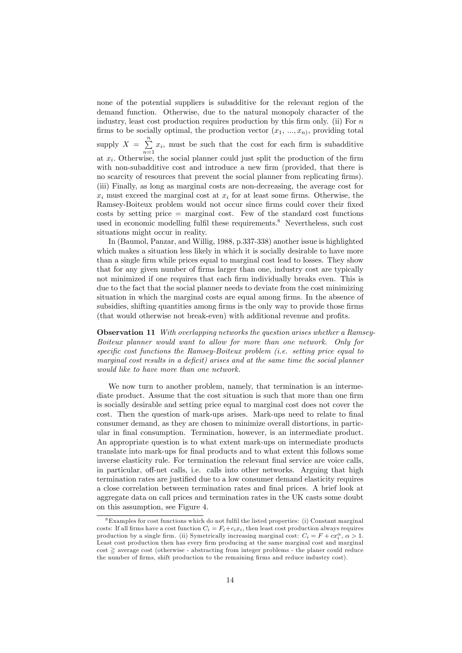none of the potential suppliers is subadditive for the relevant region of the demand function. Otherwise, due to the natural monopoly character of the industry, least cost production requires production by this firm only. (ii) For  $n$ firms to be socially optimal, the production vector  $(x_1, ..., x_n)$ , providing total supply  $X = \sum_{n=1}^{\infty}$  $\sum_{n=1} x_i$ , must be such that the cost for each firm is subadditive at  $x_i$ . Otherwise, the social planner could just split the production of the firm with non-subadditive cost and introduce a new firm (provided, that there is no scarcity of resources that prevent the social planner from replicating firms). (iii) Finally, as long as marginal costs are non-decreasing, the average cost for  $x_i$  must exceed the marginal cost at  $x_i$  for at least some firms. Otherwise, the Ramsey-Boiteux problem would not occur since Örms could cover their Öxed  $costs$  by setting price  $=$  marginal cost. Few of the standard cost functions used in economic modelling fulfil these requirements.<sup>8</sup> Nevertheless, such cost situations might occur in reality.

In (Baumol, Panzar, and Willig, 1988, p.337-338) another issue is highlighted which makes a situation less likely in which it is socially desirable to have more than a single Örm while prices equal to marginal cost lead to losses. They show that for any given number of firms larger than one, industry cost are typically not minimized if one requires that each firm individually breaks even. This is due to the fact that the social planner needs to deviate from the cost minimizing situation in which the marginal costs are equal among firms. In the absence of subsidies, shifting quantities among firms is the only way to provide those firms (that would otherwise not break-even) with additional revenue and profits.

Observation 11 With overlapping networks the question arises whether a Ramsey-Boiteux planner would want to allow for more than one network. Only for specific cost functions the Ramsey-Boiteux problem (i.e. setting price equal to marginal cost results in a deficit) arises and at the same time the social planner would like to have more than one network.

We now turn to another problem, namely, that termination is an intermediate product. Assume that the cost situation is such that more than one firm is socially desirable and setting price equal to marginal cost does not cover the cost. Then the question of mark-ups arises. Mark-ups need to relate to final consumer demand, as they are chosen to minimize overall distortions, in particular in Önal consumption. Termination, however, is an intermediate product. An appropriate question is to what extent mark-ups on intermediate products translate into mark-ups for final products and to what extent this follows some inverse elasticity rule. For termination the relevant final service are voice calls, in particular, off-net calls, i.e. calls into other networks. Arguing that high termination rates are justified due to a low consumer demand elasticity requires a close correlation between termination rates and Önal prices. A brief look at aggregate data on call prices and termination rates in the UK casts some doubt on this assumption, see Figure 4.

 $8$ Examples for cost functions which do not fulfil the listed properties: (i) Constant marginal costs: If all firms have a cost function  $C_i = F_i + c_i x_i$ , then least cost production always requires production by a single firm. (ii) Symetrically increasing marginal cost:  $C_i = F + cx_i^{\alpha}, \alpha > 1$ . Least cost production then has every firm producing at the same marginal cost and marginal  $\text{cost} \geq \text{average cost}$  (otherwise - abstracting from integer problems - the planer could reduce the number of Örms, shift production to the remaining Örms and reduce industry cost).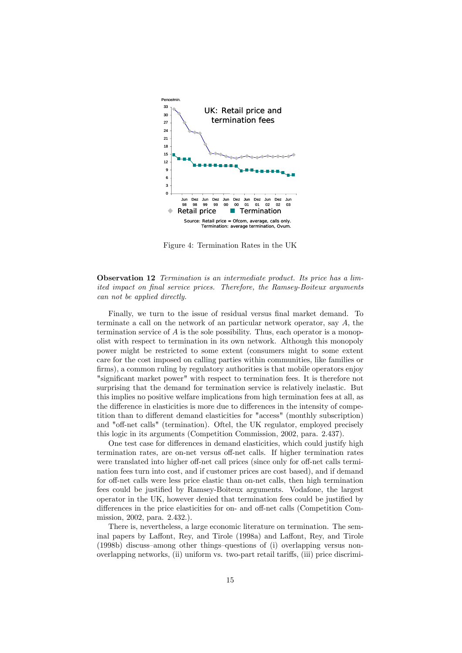

Figure 4: Termination Rates in the UK

#### Observation 12 Termination is an intermediate product. Its price has a limited impact on final service prices. Therefore, the Ramsey-Boiteux arguments can not be applied directly.

Finally, we turn to the issue of residual versus final market demand. To terminate a call on the network of an particular network operator, say  $A$ , the termination service of  $A$  is the sole possibility. Thus, each operator is a monopolist with respect to termination in its own network. Although this monopoly power might be restricted to some extent (consumers might to some extent care for the cost imposed on calling parties within communities, like families or firms), a common ruling by regulatory authorities is that mobile operators enjoy "significant market power" with respect to termination fees. It is therefore not surprising that the demand for termination service is relatively inelastic. But this implies no positive welfare implications from high termination fees at all, as the difference in elasticities is more due to differences in the intensity of competition than to different demand elasticities for "access" (monthly subscription) and "off-net calls" (termination). Oftel, the UK regulator, employed precisely this logic in its arguments (Competition Commission, 2002, para. 2.437).

One test case for differences in demand elasticities, which could justify high termination rates, are on-net versus off-net calls. If higher termination rates were translated into higher off-net call prices (since only for off-net calls termination fees turn into cost, and if customer prices are cost based), and if demand for off-net calls were less price elastic than on-net calls, then high termination fees could be justified by Ramsey-Boiteux arguments. Vodafone, the largest operator in the UK, however denied that termination fees could be justified by differences in the price elasticities for on- and off-net calls (Competition Commission, 2002, para. 2.432.).

There is, nevertheless, a large economic literature on termination. The seminal papers by Laffont, Rey, and Tirole (1998a) and Laffont, Rey, and Tirole  $(1998b)$  discuss–among other things–questions of (i) overlapping versus nonoverlapping networks, (ii) uniform vs. two-part retail tari§s, (iii) price discrimi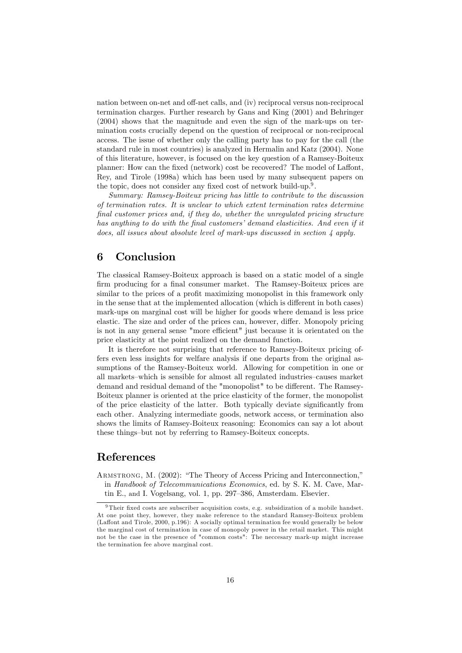nation between on-net and off-net calls, and (iv) reciprocal versus non-reciprocal termination charges. Further research by Gans and King (2001) and Behringer (2004) shows that the magnitude and even the sign of the mark-ups on termination costs crucially depend on the question of reciprocal or non-reciprocal access. The issue of whether only the calling party has to pay for the call (the standard rule in most countries) is analyzed in Hermalin and Katz (2004). None of this literature, however, is focused on the key question of a Ramsey-Boiteux planner: How can the fixed (network) cost be recovered? The model of Laffont, Rey, and Tirole (1998a) which has been used by many subsequent papers on the topic, does not consider any fixed cost of network build-up.<sup>9</sup>.

Summary: Ramsey-Boiteux pricing has little to contribute to the discussion of termination rates. It is unclear to which extent termination rates determine final customer prices and, if they do, whether the unregulated pricing structure has anything to do with the final customers' demand elasticities. And even if it does, all issues about absolute level of mark-ups discussed in section 4 apply.

## 6 Conclusion

The classical Ramsey-Boiteux approach is based on a static model of a single firm producing for a final consumer market. The Ramsey-Boiteux prices are similar to the prices of a profit maximizing monopolist in this framework only in the sense that at the implemented allocation (which is different in both cases) mark-ups on marginal cost will be higher for goods where demand is less price elastic. The size and order of the prices can, however, differ. Monopoly pricing is not in any general sense "more efficient" just because it is orientated on the price elasticity at the point realized on the demand function.

It is therefore not surprising that reference to Ramsey-Boiteux pricing offers even less insights for welfare analysis if one departs from the original assumptions of the Ramsey-Boiteux world. Allowing for competition in one or all markets–which is sensible for almost all regulated industries–causes market demand and residual demand of the "monopolist" to be different. The Ramsey-Boiteux planner is oriented at the price elasticity of the former, the monopolist of the price elasticity of the latter. Both typically deviate significantly from each other. Analyzing intermediate goods, network access, or termination also shows the limits of Ramsey-Boiteux reasoning: Economics can say a lot about these things-but not by referring to Ramsey-Boiteux concepts.

## References

ARMSTRONG, M. (2002): "The Theory of Access Pricing and Interconnection," in Handbook of Telecommunications Economics, ed. by S. K. M. Cave, Martin E., and I. Vogelsang, vol. 1, pp.  $297-386$ , Amsterdam. Elsevier.

 $9$ Their fixed costs are subscriber acquisition costs, e.g. subsidization of a mobile handset. At one point they, however, they make reference to the standard Ramsey-Boiteux problem (Laffont and Tirole, 2000, p.196): A socially optimal termination fee would generally be below the marginal cost of termination in case of monopoly power in the retail market. This might not be the case in the presence of "common costs": The neccesary mark-up might increase the termination fee above marginal cost.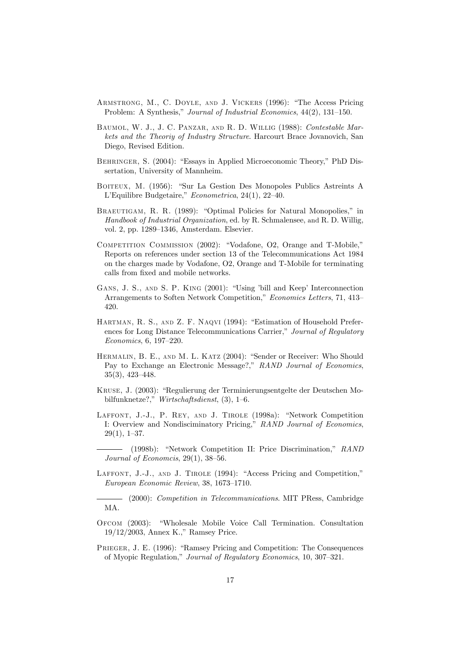- ARMSTRONG, M., C. DOYLE, AND J. VICKERS (1996): "The Access Pricing Problem: A Synthesis," Journal of Industrial Economics, 44(2), 131-150.
- Baumol, W. J., J. C. Panzar, and R. D. Willig (1988): Contestable Markets and the Theoriy of Industry Structure. Harcourt Brace Jovanovich, San Diego, Revised Edition.
- BEHRINGER, S. (2004): "Essays in Applied Microeconomic Theory," PhD Dissertation, University of Mannheim.
- BOITEUX, M. (1956): "Sur La Gestion Des Monopoles Publics Astreints A L'Equilibre Budgetaire,"  $Econometrica$ , 24(1), 22-40.
- BRAEUTIGAM, R. R. (1989): "Optimal Policies for Natural Monopolies," in Handbook of Industrial Organization, ed. by R. Schmalensee, and R. D. Willig, vol. 2, pp. 1289–1346, Amsterdam. Elsevier.
- COMPETITION COMMISSION (2002): "Vodafone, O2, Orange and T-Mobile," Reports on references under section 13 of the Telecommunications Act 1984 on the charges made by Vodafone, O2, Orange and T-Mobile for terminating calls from fixed and mobile networks.
- GANS, J. S., AND S. P. KING (2001): "Using 'bill and Keep' Interconnection Arrangements to Soften Network Competition," Economics Letters, 71, 413-420.
- HARTMAN, R. S., AND Z. F. NAQVI (1994): "Estimation of Household Preferences for Long Distance Telecommunications Carrier," Journal of Regulatory  $Economics, 6, 197–220.$
- HERMALIN, B. E., AND M. L. KATZ (2004): "Sender or Receiver: Who Should Pay to Exchange an Electronic Message?," RAND Journal of Economics,  $35(3)$ ,  $423-448$ .
- KRUSE, J. (2003): "Regulierung der Terminierungsentgelte der Deutschen Mobilfunknetze?," Wirtschaftsdienst,  $(3)$ , 1–6.
- LAFFONT, J.-J., P. REY, AND J. TIROLE (1998a): "Network Competition I: Overview and Nondisciminatory Pricing," RAND Journal of Economics,  $29(1), 1-37.$
- (1998b): "Network Competition II: Price Discrimination," RAND Journal of Economcis,  $29(1)$ ,  $38-56$ .
- LAFFONT, J.-J., AND J. TIROLE (1994): "Access Pricing and Competition," European Economic Review, 38, 1673-1710.

(2000): Competition in Telecommunications. MIT PRess, Cambridge MA.

- OFCOM (2003): "Wholesale Mobile Voice Call Termination. Consultation  $19/12/2003$ , Annex K.," Ramsey Price.
- PRIEGER, J. E. (1996): "Ramsey Pricing and Competition: The Consequences of Myopic Regulation," Journal of Regulatory Economics, 10, 307–321.